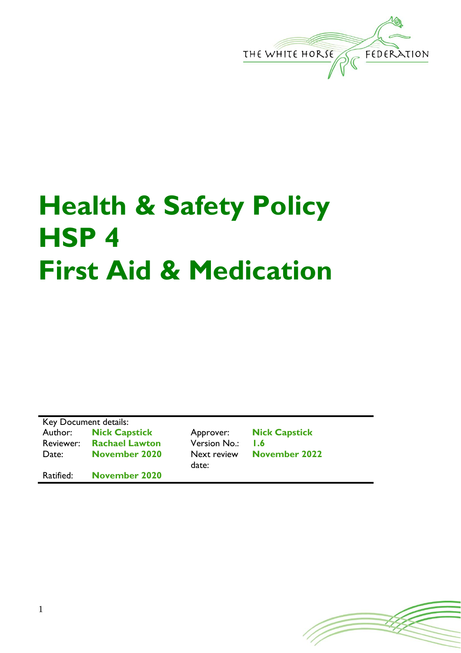

# **Health & Safety Policy HSP 4 First Aid & Medication**

Key Document details: Author: **Nick Capstick** Approver: **Nick Capstick** Reviewer: **Rachael Lawton** Version No.: **1.6** Date: **November 2020** Next review

Ratified: **November 2020**

date:

**November 2022**

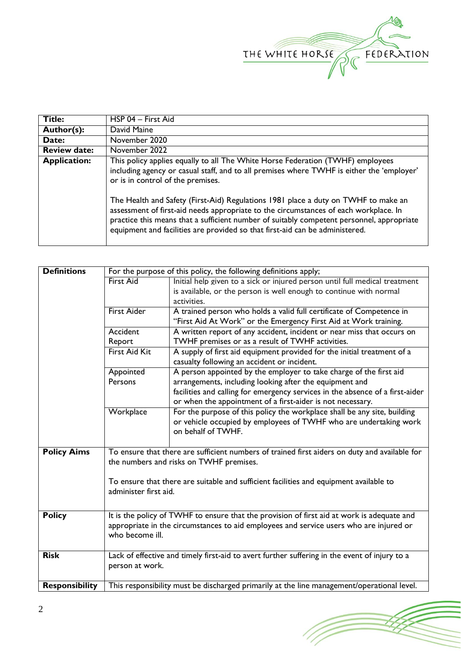

| <b>Title:</b>       | HSP 04 - First Aid                                                                                                                                                                                                                                                                                                                                      |
|---------------------|---------------------------------------------------------------------------------------------------------------------------------------------------------------------------------------------------------------------------------------------------------------------------------------------------------------------------------------------------------|
| Author(s):          | David Maine                                                                                                                                                                                                                                                                                                                                             |
| Date:               | November 2020                                                                                                                                                                                                                                                                                                                                           |
| <b>Review date:</b> | November 2022                                                                                                                                                                                                                                                                                                                                           |
| <b>Application:</b> | This policy applies equally to all The White Horse Federation (TWHF) employees<br>including agency or casual staff, and to all premises where TWHF is either the 'employer'                                                                                                                                                                             |
|                     | or is in control of the premises.                                                                                                                                                                                                                                                                                                                       |
|                     | The Health and Safety (First-Aid) Regulations 1981 place a duty on TWHF to make an<br>assessment of first-aid needs appropriate to the circumstances of each workplace. In<br>practice this means that a sufficient number of suitably competent personnel, appropriate<br>equipment and facilities are provided so that first-aid can be administered. |

| <b>Definitions</b>    | For the purpose of this policy, the following definitions apply;                                                                         |                                                                                               |  |  |  |
|-----------------------|------------------------------------------------------------------------------------------------------------------------------------------|-----------------------------------------------------------------------------------------------|--|--|--|
|                       | <b>First Aid</b><br>Initial help given to a sick or injured person until full medical treatment                                          |                                                                                               |  |  |  |
|                       |                                                                                                                                          | is available, or the person is well enough to continue with normal                            |  |  |  |
|                       |                                                                                                                                          | activities.                                                                                   |  |  |  |
|                       | <b>First Aider</b>                                                                                                                       | A trained person who holds a valid full certificate of Competence in                          |  |  |  |
|                       |                                                                                                                                          | "First Aid At Work" or the Emergency First Aid at Work training.                              |  |  |  |
| Accident              |                                                                                                                                          | A written report of any accident, incident or near miss that occurs on                        |  |  |  |
|                       | Report                                                                                                                                   | TWHF premises or as a result of TWHF activities.                                              |  |  |  |
|                       | <b>First Aid Kit</b>                                                                                                                     | A supply of first aid equipment provided for the initial treatment of a                       |  |  |  |
|                       |                                                                                                                                          | casualty following an accident or incident.                                                   |  |  |  |
| Appointed             |                                                                                                                                          | A person appointed by the employer to take charge of the first aid                            |  |  |  |
|                       | Persons                                                                                                                                  | arrangements, including looking after the equipment and                                       |  |  |  |
|                       |                                                                                                                                          | facilities and calling for emergency services in the absence of a first-aider                 |  |  |  |
|                       | or when the appointment of a first-aider is not necessary.                                                                               |                                                                                               |  |  |  |
|                       | Workplace                                                                                                                                | For the purpose of this policy the workplace shall be any site, building                      |  |  |  |
|                       |                                                                                                                                          | or vehicle occupied by employees of TWHF who are undertaking work                             |  |  |  |
|                       |                                                                                                                                          | on behalf of TWHF.                                                                            |  |  |  |
|                       |                                                                                                                                          |                                                                                               |  |  |  |
| <b>Policy Aims</b>    | To ensure that there are sufficient numbers of trained first aiders on duty and available for<br>the numbers and risks on TWHF premises. |                                                                                               |  |  |  |
|                       |                                                                                                                                          |                                                                                               |  |  |  |
|                       |                                                                                                                                          |                                                                                               |  |  |  |
|                       | To ensure that there are suitable and sufficient facilities and equipment available to                                                   |                                                                                               |  |  |  |
|                       | administer first aid.                                                                                                                    |                                                                                               |  |  |  |
|                       |                                                                                                                                          |                                                                                               |  |  |  |
| <b>Policy</b>         | It is the policy of TWHF to ensure that the provision of first aid at work is adequate and                                               |                                                                                               |  |  |  |
|                       | appropriate in the circumstances to aid employees and service users who are injured or                                                   |                                                                                               |  |  |  |
|                       | who become ill.                                                                                                                          |                                                                                               |  |  |  |
|                       |                                                                                                                                          |                                                                                               |  |  |  |
| <b>Risk</b>           |                                                                                                                                          | Lack of effective and timely first-aid to avert further suffering in the event of injury to a |  |  |  |
|                       | person at work.                                                                                                                          |                                                                                               |  |  |  |
|                       |                                                                                                                                          |                                                                                               |  |  |  |
| <b>Responsibility</b> | This responsibility must be discharged primarily at the line management/operational level.                                               |                                                                                               |  |  |  |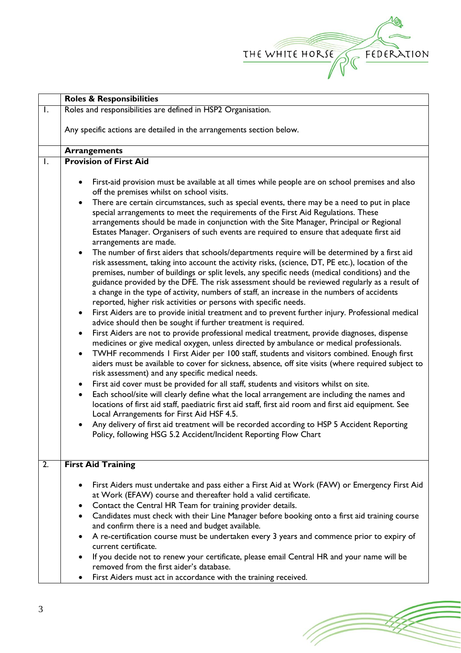

(Toponial)

|                | <b>Roles &amp; Responsibilities</b>                                                                                                                                                                                                                                                                                                                                                                                                                                                                                                                                                                                                                                                                                                                                                                                                                                                                                                                                                                                                                                                                                                                                                                                                                                                                                                                                                                                                                                                                                                                                                                                                                                                                                                                                                                                                                                                                                                                                                                                                                                                                                                                                                                                                                                                                                                    |  |  |  |  |
|----------------|----------------------------------------------------------------------------------------------------------------------------------------------------------------------------------------------------------------------------------------------------------------------------------------------------------------------------------------------------------------------------------------------------------------------------------------------------------------------------------------------------------------------------------------------------------------------------------------------------------------------------------------------------------------------------------------------------------------------------------------------------------------------------------------------------------------------------------------------------------------------------------------------------------------------------------------------------------------------------------------------------------------------------------------------------------------------------------------------------------------------------------------------------------------------------------------------------------------------------------------------------------------------------------------------------------------------------------------------------------------------------------------------------------------------------------------------------------------------------------------------------------------------------------------------------------------------------------------------------------------------------------------------------------------------------------------------------------------------------------------------------------------------------------------------------------------------------------------------------------------------------------------------------------------------------------------------------------------------------------------------------------------------------------------------------------------------------------------------------------------------------------------------------------------------------------------------------------------------------------------------------------------------------------------------------------------------------------------|--|--|--|--|
| $\mathsf{I}$ . | Roles and responsibilities are defined in HSP2 Organisation.                                                                                                                                                                                                                                                                                                                                                                                                                                                                                                                                                                                                                                                                                                                                                                                                                                                                                                                                                                                                                                                                                                                                                                                                                                                                                                                                                                                                                                                                                                                                                                                                                                                                                                                                                                                                                                                                                                                                                                                                                                                                                                                                                                                                                                                                           |  |  |  |  |
|                | Any specific actions are detailed in the arrangements section below.                                                                                                                                                                                                                                                                                                                                                                                                                                                                                                                                                                                                                                                                                                                                                                                                                                                                                                                                                                                                                                                                                                                                                                                                                                                                                                                                                                                                                                                                                                                                                                                                                                                                                                                                                                                                                                                                                                                                                                                                                                                                                                                                                                                                                                                                   |  |  |  |  |
|                | <b>Arrangements</b>                                                                                                                                                                                                                                                                                                                                                                                                                                                                                                                                                                                                                                                                                                                                                                                                                                                                                                                                                                                                                                                                                                                                                                                                                                                                                                                                                                                                                                                                                                                                                                                                                                                                                                                                                                                                                                                                                                                                                                                                                                                                                                                                                                                                                                                                                                                    |  |  |  |  |
| $\mathsf{I}$ . | <b>Provision of First Aid</b>                                                                                                                                                                                                                                                                                                                                                                                                                                                                                                                                                                                                                                                                                                                                                                                                                                                                                                                                                                                                                                                                                                                                                                                                                                                                                                                                                                                                                                                                                                                                                                                                                                                                                                                                                                                                                                                                                                                                                                                                                                                                                                                                                                                                                                                                                                          |  |  |  |  |
|                | First-aid provision must be available at all times while people are on school premises and also<br>off the premises whilst on school visits.<br>There are certain circumstances, such as special events, there may be a need to put in place<br>$\bullet$<br>special arrangements to meet the requirements of the First Aid Regulations. These<br>arrangements should be made in conjunction with the Site Manager, Principal or Regional<br>Estates Manager. Organisers of such events are required to ensure that adequate first aid<br>arrangements are made.<br>The number of first aiders that schools/departments require will be determined by a first aid<br>$\bullet$<br>risk assessment, taking into account the activity risks, (science, DT, PE etc.), location of the<br>premises, number of buildings or split levels, any specific needs (medical conditions) and the<br>guidance provided by the DFE. The risk assessment should be reviewed regularly as a result of<br>a change in the type of activity, numbers of staff, an increase in the numbers of accidents<br>reported, higher risk activities or persons with specific needs.<br>First Aiders are to provide initial treatment and to prevent further injury. Professional medical<br>advice should then be sought if further treatment is required.<br>First Aiders are not to provide professional medical treatment, provide diagnoses, dispense<br>٠<br>medicines or give medical oxygen, unless directed by ambulance or medical professionals.<br>TWHF recommends I First Aider per 100 staff, students and visitors combined. Enough first<br>$\bullet$<br>aiders must be available to cover for sickness, absence, off site visits (where required subject to<br>risk assessment) and any specific medical needs.<br>First aid cover must be provided for all staff, students and visitors whilst on site.<br>٠<br>Each school/site will clearly define what the local arrangement are including the names and<br>$\bullet$<br>locations of first aid staff, paediatric first aid staff, first aid room and first aid equipment. See<br>Local Arrangements for First Aid HSF 4.5.<br>Any delivery of first aid treatment will be recorded according to HSP 5 Accident Reporting<br>Policy, following HSG 5.2 Accident/Incident Reporting Flow Chart |  |  |  |  |
| 2.             | <b>First Aid Training</b>                                                                                                                                                                                                                                                                                                                                                                                                                                                                                                                                                                                                                                                                                                                                                                                                                                                                                                                                                                                                                                                                                                                                                                                                                                                                                                                                                                                                                                                                                                                                                                                                                                                                                                                                                                                                                                                                                                                                                                                                                                                                                                                                                                                                                                                                                                              |  |  |  |  |
|                | First Aiders must undertake and pass either a First Aid at Work (FAW) or Emergency First Aid<br>at Work (EFAW) course and thereafter hold a valid certificate.<br>Contact the Central HR Team for training provider details.<br>Candidates must check with their Line Manager before booking onto a first aid training course<br>and confirm there is a need and budget available.<br>A re-certification course must be undertaken every 3 years and commence prior to expiry of<br>current certificate.<br>If you decide not to renew your certificate, please email Central HR and your name will be<br>removed from the first aider's database.                                                                                                                                                                                                                                                                                                                                                                                                                                                                                                                                                                                                                                                                                                                                                                                                                                                                                                                                                                                                                                                                                                                                                                                                                                                                                                                                                                                                                                                                                                                                                                                                                                                                                     |  |  |  |  |
|                |                                                                                                                                                                                                                                                                                                                                                                                                                                                                                                                                                                                                                                                                                                                                                                                                                                                                                                                                                                                                                                                                                                                                                                                                                                                                                                                                                                                                                                                                                                                                                                                                                                                                                                                                                                                                                                                                                                                                                                                                                                                                                                                                                                                                                                                                                                                                        |  |  |  |  |
|                | First Aiders must act in accordance with the training received.                                                                                                                                                                                                                                                                                                                                                                                                                                                                                                                                                                                                                                                                                                                                                                                                                                                                                                                                                                                                                                                                                                                                                                                                                                                                                                                                                                                                                                                                                                                                                                                                                                                                                                                                                                                                                                                                                                                                                                                                                                                                                                                                                                                                                                                                        |  |  |  |  |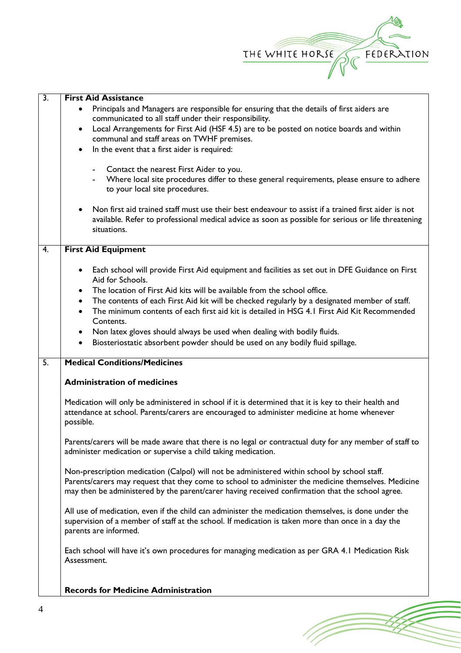

(Topon

| $\overline{3}$ . | <b>First Aid Assistance</b>                                                                                |  |  |  |  |
|------------------|------------------------------------------------------------------------------------------------------------|--|--|--|--|
|                  | Principals and Managers are responsible for ensuring that the details of first aiders are                  |  |  |  |  |
|                  | communicated to all staff under their responsibility.                                                      |  |  |  |  |
|                  | Local Arrangements for First Aid (HSF 4.5) are to be posted on notice boards and within<br>$\bullet$       |  |  |  |  |
|                  | communal and staff areas on TWHF premises.                                                                 |  |  |  |  |
|                  | In the event that a first aider is required:<br>$\bullet$                                                  |  |  |  |  |
|                  |                                                                                                            |  |  |  |  |
|                  | Contact the nearest First Aider to you.                                                                    |  |  |  |  |
|                  | Where local site procedures differ to these general requirements, please ensure to adhere                  |  |  |  |  |
|                  | to your local site procedures.                                                                             |  |  |  |  |
|                  |                                                                                                            |  |  |  |  |
|                  | Non first aid trained staff must use their best endeavour to assist if a trained first aider is not        |  |  |  |  |
|                  | available. Refer to professional medical advice as soon as possible for serious or life threatening        |  |  |  |  |
|                  | situations.                                                                                                |  |  |  |  |
|                  |                                                                                                            |  |  |  |  |
| 4.               | <b>First Aid Equipment</b>                                                                                 |  |  |  |  |
|                  | Each school will provide First Aid equipment and facilities as set out in DFE Guidance on First<br>٠       |  |  |  |  |
|                  | Aid for Schools.                                                                                           |  |  |  |  |
|                  | The location of First Aid kits will be available from the school office.<br>$\bullet$                      |  |  |  |  |
|                  | The contents of each First Aid kit will be checked regularly by a designated member of staff.<br>$\bullet$ |  |  |  |  |
|                  | The minimum contents of each first aid kit is detailed in HSG 4.1 First Aid Kit Recommended                |  |  |  |  |
|                  | Contents.                                                                                                  |  |  |  |  |
|                  | Non latex gloves should always be used when dealing with bodily fluids.<br>$\bullet$                       |  |  |  |  |
|                  | Biosteriostatic absorbent powder should be used on any bodily fluid spillage.<br>$\bullet$                 |  |  |  |  |
|                  |                                                                                                            |  |  |  |  |
| $\overline{5}$ . | <b>Medical Conditions/Medicines</b>                                                                        |  |  |  |  |
|                  |                                                                                                            |  |  |  |  |
|                  | <b>Administration of medicines</b>                                                                         |  |  |  |  |
|                  |                                                                                                            |  |  |  |  |
|                  | Medication will only be administered in school if it is determined that it is key to their health and      |  |  |  |  |
|                  | attendance at school. Parents/carers are encouraged to administer medicine at home whenever                |  |  |  |  |
|                  | possible.                                                                                                  |  |  |  |  |
|                  | Parents/carers will be made aware that there is no legal or contractual duty for any member of staff to    |  |  |  |  |
|                  | administer medication or supervise a child taking medication.                                              |  |  |  |  |
|                  |                                                                                                            |  |  |  |  |
|                  | Non-prescription medication (Calpol) will not be administered within school by school staff.               |  |  |  |  |
|                  | Parents/carers may request that they come to school to administer the medicine themselves. Medicine        |  |  |  |  |
|                  | may then be administered by the parent/carer having received confirmation that the school agree.           |  |  |  |  |
|                  |                                                                                                            |  |  |  |  |
|                  | All use of medication, even if the child can administer the medication themselves, is done under the       |  |  |  |  |
|                  | supervision of a member of staff at the school. If medication is taken more than once in a day the         |  |  |  |  |
|                  | parents are informed.                                                                                      |  |  |  |  |
|                  |                                                                                                            |  |  |  |  |
|                  | Each school will have it's own procedures for managing medication as per GRA 4.1 Medication Risk           |  |  |  |  |
|                  | Assessment.                                                                                                |  |  |  |  |
|                  |                                                                                                            |  |  |  |  |
|                  | <b>Records for Medicine Administration</b>                                                                 |  |  |  |  |
|                  |                                                                                                            |  |  |  |  |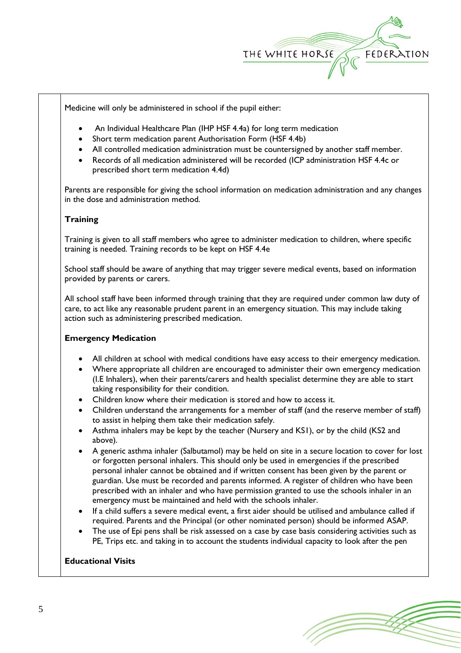

Medicine will only be administered in school if the pupil either:

- An Individual Healthcare Plan (IHP HSF 4.4a) for long term medication
- Short term medication parent Authorisation Form (HSF 4.4b)
- All controlled medication administration must be countersigned by another staff member.
- Records of all medication administered will be recorded (ICP administration HSF 4.4c or prescribed short term medication 4.4d)

Parents are responsible for giving the school information on medication administration and any changes in the dose and administration method.

### **Training**

Training is given to all staff members who agree to administer medication to children, where specific training is needed. Training records to be kept on HSF 4.4e

School staff should be aware of anything that may trigger severe medical events, based on information provided by parents or carers.

All school staff have been informed through training that they are required under common law duty of care, to act like any reasonable prudent parent in an emergency situation. This may include taking action such as administering prescribed medication.

#### **Emergency Medication**

- All children at school with medical conditions have easy access to their emergency medication.
- Where appropriate all children are encouraged to administer their own emergency medication (I.E Inhalers), when their parents/carers and health specialist determine they are able to start taking responsibility for their condition.
- Children know where their medication is stored and how to access it.
- Children understand the arrangements for a member of staff (and the reserve member of staff) to assist in helping them take their medication safely.
- Asthma inhalers may be kept by the teacher (Nursery and KS1), or by the child (KS2 and above).
- A generic asthma inhaler (Salbutamol) may be held on site in a secure location to cover for lost or forgotten personal inhalers. This should only be used in emergencies if the prescribed personal inhaler cannot be obtained and if written consent has been given by the parent or guardian. Use must be recorded and parents informed. A register of children who have been prescribed with an inhaler and who have permission granted to use the schools inhaler in an emergency must be maintained and held with the schools inhaler.
- If a child suffers a severe medical event, a first aider should be utilised and ambulance called if required. Parents and the Principal (or other nominated person) should be informed ASAP.
- The use of Epi pens shall be risk assessed on a case by case basis considering activities such as PE, Trips etc. and taking in to account the students individual capacity to look after the pen

# **Educational Visits**

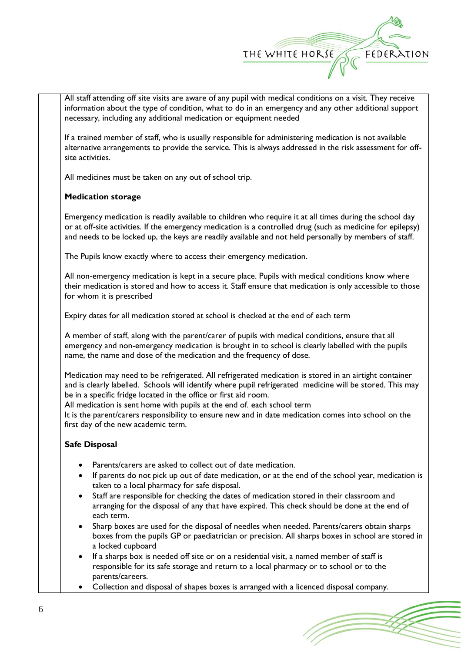

All staff attending off site visits are aware of any pupil with medical conditions on a visit. They receive information about the type of condition, what to do in an emergency and any other additional support necessary, including any additional medication or equipment needed

If a trained member of staff, who is usually responsible for administering medication is not available alternative arrangements to provide the service. This is always addressed in the risk assessment for offsite activities.

All medicines must be taken on any out of school trip.

## **Medication storage**

Emergency medication is readily available to children who require it at all times during the school day or at off-site activities. If the emergency medication is a controlled drug (such as medicine for epilepsy) and needs to be locked up, the keys are readily available and not held personally by members of staff.

The Pupils know exactly where to access their emergency medication.

All non-emergency medication is kept in a secure place. Pupils with medical conditions know where their medication is stored and how to access it. Staff ensure that medication is only accessible to those for whom it is prescribed

Expiry dates for all medication stored at school is checked at the end of each term

A member of staff, along with the parent/carer of pupils with medical conditions, ensure that all emergency and non-emergency medication is brought in to school is clearly labelled with the pupils name, the name and dose of the medication and the frequency of dose.

Medication may need to be refrigerated. All refrigerated medication is stored in an airtight container and is clearly labelled. Schools will identify where pupil refrigerated medicine will be stored. This may be in a specific fridge located in the office or first aid room.

All medication is sent home with pupils at the end of. each school term

It is the parent/carers responsibility to ensure new and in date medication comes into school on the first day of the new academic term.

## **Safe Disposal**

- Parents/carers are asked to collect out of date medication.
- If parents do not pick up out of date medication, or at the end of the school year, medication is taken to a local pharmacy for safe disposal.
- Staff are responsible for checking the dates of medication stored in their classroom and arranging for the disposal of any that have expired. This check should be done at the end of each term.
- Sharp boxes are used for the disposal of needles when needed. Parents/carers obtain sharps boxes from the pupils GP or paediatrician or precision. All sharps boxes in school are stored in a locked cupboard
- If a sharps box is needed off site or on a residential visit, a named member of staff is responsible for its safe storage and return to a local pharmacy or to school or to the parents/careers.
- Collection and disposal of shapes boxes is arranged with a licenced disposal company.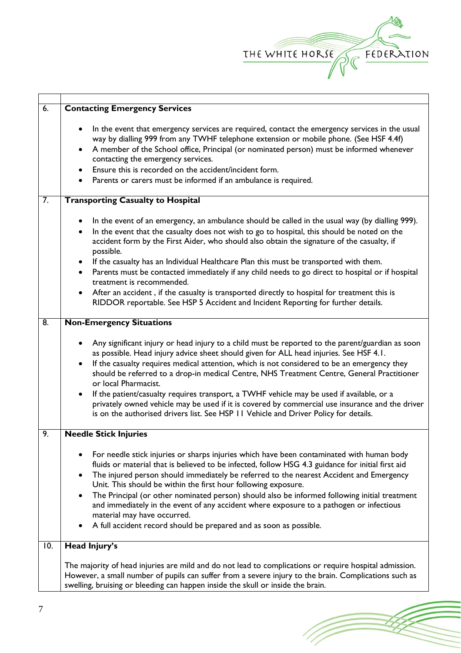

(Topon

| 6.               | <b>Contacting Emergency Services</b>                                                                                                                                                                                                                                                                                                                                                                                                                                                                                                                                                                                                                                                                                 |
|------------------|----------------------------------------------------------------------------------------------------------------------------------------------------------------------------------------------------------------------------------------------------------------------------------------------------------------------------------------------------------------------------------------------------------------------------------------------------------------------------------------------------------------------------------------------------------------------------------------------------------------------------------------------------------------------------------------------------------------------|
|                  | In the event that emergency services are required, contact the emergency services in the usual<br>$\bullet$<br>way by dialling 999 from any TWHF telephone extension or mobile phone. (See HSF 4.4f)<br>A member of the School office, Principal (or nominated person) must be informed whenever<br>contacting the emergency services.<br>Ensure this is recorded on the accident/incident form.                                                                                                                                                                                                                                                                                                                     |
|                  | Parents or carers must be informed if an ambulance is required.<br>$\bullet$                                                                                                                                                                                                                                                                                                                                                                                                                                                                                                                                                                                                                                         |
|                  |                                                                                                                                                                                                                                                                                                                                                                                                                                                                                                                                                                                                                                                                                                                      |
| $\overline{7}$ . | <b>Transporting Casualty to Hospital</b>                                                                                                                                                                                                                                                                                                                                                                                                                                                                                                                                                                                                                                                                             |
|                  | In the event of an emergency, an ambulance should be called in the usual way (by dialling 999).<br>$\bullet$<br>In the event that the casualty does not wish to go to hospital, this should be noted on the<br>$\bullet$<br>accident form by the First Aider, who should also obtain the signature of the casualty, if<br>possible.<br>If the casualty has an Individual Healthcare Plan this must be transported with them.<br>$\bullet$<br>Parents must be contacted immediately if any child needs to go direct to hospital or if hospital<br>$\bullet$                                                                                                                                                           |
|                  | treatment is recommended.<br>After an accident, if the casualty is transported directly to hospital for treatment this is<br>$\bullet$<br>RIDDOR reportable. See HSP 5 Accident and Incident Reporting for further details.                                                                                                                                                                                                                                                                                                                                                                                                                                                                                          |
| $\overline{8}$   | <b>Non-Emergency Situations</b>                                                                                                                                                                                                                                                                                                                                                                                                                                                                                                                                                                                                                                                                                      |
|                  | Any significant injury or head injury to a child must be reported to the parent/guardian as soon<br>as possible. Head injury advice sheet should given for ALL head injuries. See HSF 4.1.<br>If the casualty requires medical attention, which is not considered to be an emergency they<br>$\bullet$<br>should be referred to a drop-in medical Centre, NHS Treatment Centre, General Practitioner<br>or local Pharmacist.<br>If the patient/casualty requires transport, a TWHF vehicle may be used if available, or a<br>privately owned vehicle may be used if it is covered by commercial use insurance and the driver<br>is on the authorised drivers list. See HSP 11 Vehicle and Driver Policy for details. |
| 9.               | <b>Needle Stick Injuries</b>                                                                                                                                                                                                                                                                                                                                                                                                                                                                                                                                                                                                                                                                                         |
|                  | For needle stick injuries or sharps injuries which have been contaminated with human body<br>fluids or material that is believed to be infected, follow HSG 4.3 guidance for initial first aid<br>The injured person should immediately be referred to the nearest Accident and Emergency<br>Unit. This should be within the first hour following exposure.<br>The Principal (or other nominated person) should also be informed following initial treatment<br>$\bullet$<br>and immediately in the event of any accident where exposure to a pathogen or infectious<br>material may have occurred.<br>A full accident record should be prepared and as soon as possible.                                            |
| 10.              | Head Injury's                                                                                                                                                                                                                                                                                                                                                                                                                                                                                                                                                                                                                                                                                                        |
|                  | The majority of head injuries are mild and do not lead to complications or require hospital admission.<br>However, a small number of pupils can suffer from a severe injury to the brain. Complications such as<br>swelling, bruising or bleeding can happen inside the skull or inside the brain.                                                                                                                                                                                                                                                                                                                                                                                                                   |